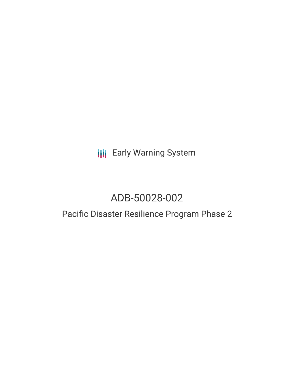**III** Early Warning System

# ADB-50028-002

## Pacific Disaster Resilience Program Phase 2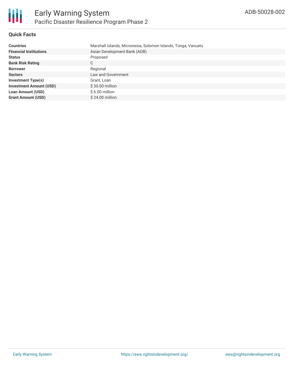

#### **Quick Facts**

| <b>Countries</b>               | Marshall Islands, Micronesia, Solomon Islands, Tonga, Vanuatu |
|--------------------------------|---------------------------------------------------------------|
| <b>Financial Institutions</b>  | Asian Development Bank (ADB)                                  |
| <b>Status</b>                  | Proposed                                                      |
| <b>Bank Risk Rating</b>        | C                                                             |
| <b>Borrower</b>                | Regional                                                      |
| <b>Sectors</b>                 | Law and Government                                            |
| <b>Investment Type(s)</b>      | Grant, Loan                                                   |
| <b>Investment Amount (USD)</b> | \$30.00 million                                               |
| <b>Loan Amount (USD)</b>       | $$6.00$ million                                               |
| <b>Grant Amount (USD)</b>      | $$24.00$ million                                              |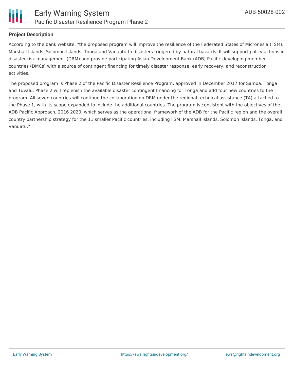

#### **Project Description**

According to the bank website, "the proposed program will improve the resilience of the Federated States of Micronesia (FSM), Marshall Islands, Solomon Islands, Tonga and Vanuatu to disasters triggered by natural hazards. It will support policy actions in disaster risk management (DRM) and provide participating Asian Development Bank (ADB) Pacific developing member countries (DMCs) with a source of contingent financing for timely disaster response, early recovery, and reconstruction activities.

The proposed program is Phase 2 of the Pacific Disaster Resilience Program, approved in December 2017 for Samoa, Tonga and Tuvalu. Phase 2 will replenish the available disaster contingent financing for Tonga and add four new countries to the program. All seven countries will continue the collaboration on DRM under the regional technical assistance (TA) attached to the Phase 1, with its scope expanded to include the additional countries. The program is consistent with the objectives of the ADB Pacific Approach, 2016 2020, which serves as the operational framework of the ADB for the Pacific region and the overall country partnership strategy for the 11 smaller Pacific countries, including FSM, Marshall Islands, Solomon Islands, Tonga, and Vanuatu."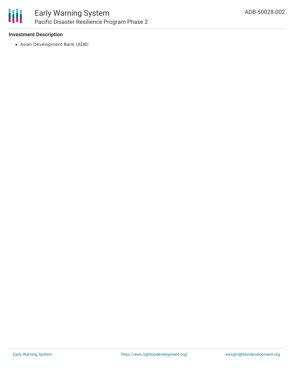

#### **Investment Description**

Asian Development Bank (ADB)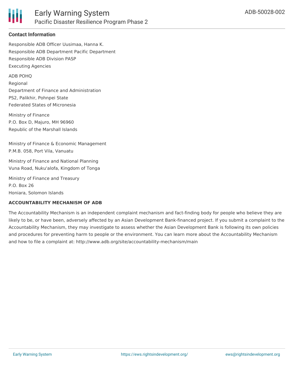

#### **Contact Information**

Responsible ADB Officer Uusimaa, Hanna K. Responsible ADB Department Pacific Department Responsible ADB Division PASP Executing Agencies

ADB POHQ Regional Department of Finance and Administration PS2, Palikhir, Pohnpei State Federated States of Micronesia

Ministry of Finance P.O. Box D, Majuro, MH 96960 Republic of the Marshall Islands

Ministry of Finance & Economic Management P.M.B. 058, Port Vila, Vanuatu

Ministry of Finance and National Planning Vuna Road, Nuku'alofa, Kingdom of Tonga

Ministry of Finance and Treasury P.O. Box 26 Honiara, Solomon Islands

#### **ACCOUNTABILITY MECHANISM OF ADB**

The Accountability Mechanism is an independent complaint mechanism and fact-finding body for people who believe they are likely to be, or have been, adversely affected by an Asian Development Bank-financed project. If you submit a complaint to the Accountability Mechanism, they may investigate to assess whether the Asian Development Bank is following its own policies and procedures for preventing harm to people or the environment. You can learn more about the Accountability Mechanism and how to file a complaint at: http://www.adb.org/site/accountability-mechanism/main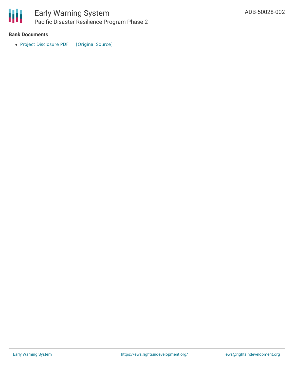

### Early Warning System Pacific Disaster Resilience Program Phase 2

#### **Bank Documents**

• Project [Disclosure](https://ewsdata.rightsindevelopment.org/files/documents/02/ADB-50028-002.pdf) PDF [\[Original](https://www.adb.org/printpdf/projects/50028-002/main) Source]